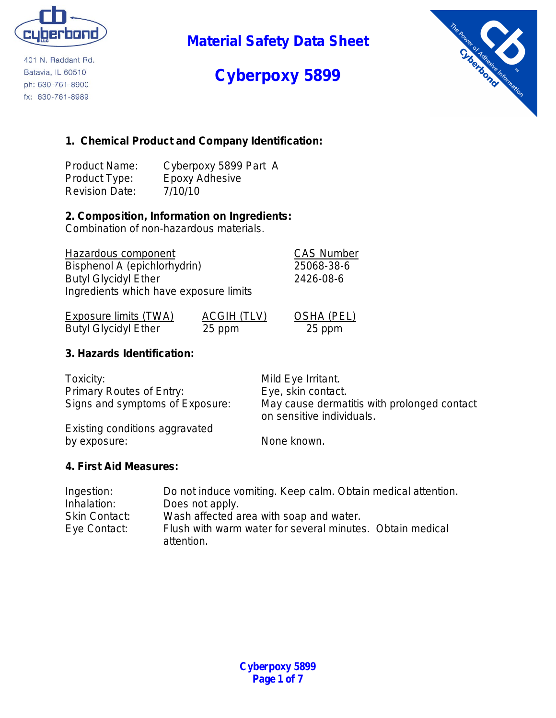

401 N. Raddant Rd. Batavia, IL 60510 ph: 630-761-8900 fx: 630-761-8989

**Material Safety Data Sheet**

# **Cyberpoxy 5899**



### **1. Chemical Product and Company Identification:**

| <b>Product Name:</b>  | Cyberpoxy 5899 Part A |
|-----------------------|-----------------------|
| Product Type:         | Epoxy Adhesive        |
| <b>Revision Date:</b> | 7/10/10               |

### **2. Composition, Information on Ingredients:**

Combination of non-hazardous materials.

Hazardous component CAS Number Bisphenol A (epichlorhydrin) 25068-38-6 Butyl Glycidyl Ether 2426-08-6 Ingredients which have exposure limits

| Exposure limits (TWA)       | ACGIH (TLV) | <b>OSHA (PEL)</b> |
|-----------------------------|-------------|-------------------|
| <b>Butyl Glycidyl Ether</b> | 25 ppm      | 25 ppm            |

### **3. Hazards Identification:**

| Toxicity:                       | Mild Eye Irritant.                                                       |
|---------------------------------|--------------------------------------------------------------------------|
| <b>Primary Routes of Entry:</b> | Eye, skin contact.                                                       |
| Signs and symptoms of Exposure: | May cause dermatitis with prolonged contact<br>on sensitive individuals. |
| Existing conditions aggravated  |                                                                          |

Existing conditions aggravated by exposure: None known.

### **4. First Aid Measures:**

| Ingestion:           | Do not induce vomiting. Keep calm. Obtain medical attention.            |
|----------------------|-------------------------------------------------------------------------|
| Inhalation:          | Does not apply.                                                         |
| <b>Skin Contact:</b> | Wash affected area with soap and water.                                 |
| Eye Contact:         | Flush with warm water for several minutes. Obtain medical<br>attention. |
|                      |                                                                         |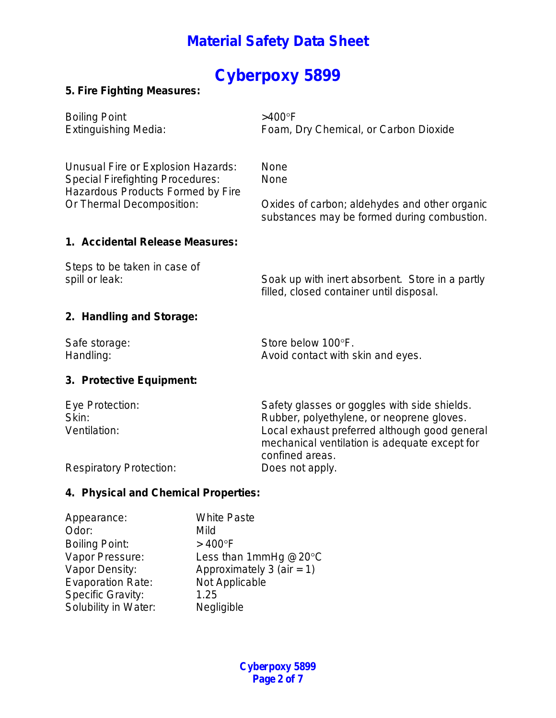## **Cyberpoxy 5899**

### **5. Fire Fighting Measures:**

Boiling Point  $>400^{\circ}$ F

Extinguishing Media: Foam, Dry Chemical, or Carbon Dioxide

Unusual Fire or Explosion Hazards: None Special Firefighting Procedures: None Hazardous Products Formed by Fire

Or Thermal Decomposition: Oxides of carbon; aldehydes and other organic substances may be formed during combustion.

#### **1. Accidental Release Measures:**

Steps to be taken in case of

spill or leak: Soak up with inert absorbent. Store in a partly filled, closed container until disposal.

### **2. Handling and Storage:**

| Safe storage: | Store below 100°F.                |
|---------------|-----------------------------------|
| Handling:     | Avoid contact with skin and eyes. |

### **3. Protective Equipment:**

| Eye Protection:                | Safety glasses or goggles with side shields.                                                                      |
|--------------------------------|-------------------------------------------------------------------------------------------------------------------|
| Skin:                          | Rubber, polyethylene, or neoprene gloves.                                                                         |
| Ventilation:                   | Local exhaust preferred although good general<br>mechanical ventilation is adequate except for<br>confined areas. |
| <b>Respiratory Protection:</b> | Does not apply.                                                                                                   |

### **4. Physical and Chemical Properties:**

| <b>White Paste</b>           |
|------------------------------|
| Mild                         |
| $>400^{\circ}$ F             |
| Less than 1mmHg $@20°C$      |
| Approximately 3 (air = $1$ ) |
| Not Applicable               |
| 1.25                         |
| Negligible                   |
|                              |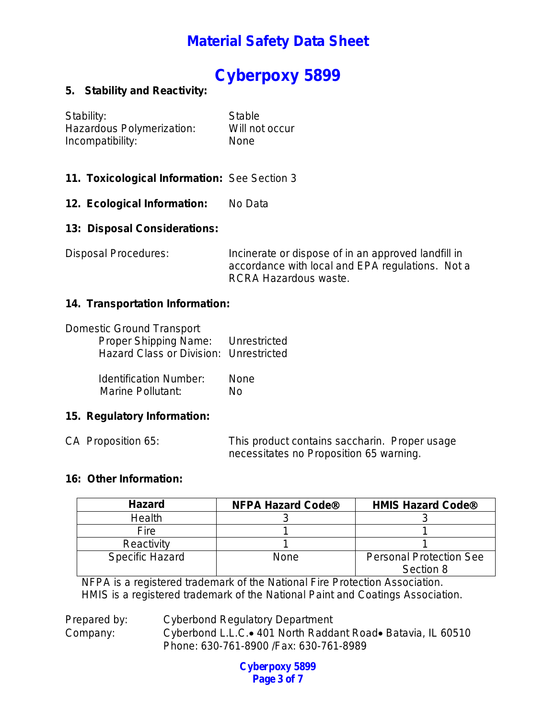## **Cyberpoxy 5899**

### **5. Stability and Reactivity:**

| Stability:                | Stable         |
|---------------------------|----------------|
| Hazardous Polymerization: | Will not occur |
| Incompatibility:          | <b>None</b>    |

- **11. Toxicological Information:** See Section 3
- 12. Ecological Information: No Data

### **13: Disposal Considerations:**

Disposal Procedures: Incinerate or dispose of in an approved landfill in accordance with local and EPA regulations. Not a RCRA Hazardous waste.

#### **14. Transportation Information:**

|  |  | Domestic Ground Transport |
|--|--|---------------------------|
|--|--|---------------------------|

| Proper Shipping Name:                  | Unrestricted |
|----------------------------------------|--------------|
| Hazard Class or Division: Unrestricted |              |

 Identification Number: None Marine Pollutant: No

### **15. Regulatory Information:**

CA Proposition 65: This product contains saccharin. Proper usage necessitates no Proposition 65 warning.

### **16: Other Information:**

| <b>Hazard</b>          | <b>NFPA Hazard Code®</b> | <b>HMIS Hazard Code®</b>                    |
|------------------------|--------------------------|---------------------------------------------|
| Health                 |                          |                                             |
| Fire                   |                          |                                             |
| Reactivity             |                          |                                             |
| <b>Specific Hazard</b> | None                     | <b>Personal Protection See</b><br>Section 8 |

NFPA is a registered trademark of the National Fire Protection Association. HMIS is a registered trademark of the National Paint and Coatings Association.

Prepared by: Cyberbond Regulatory Department Company: Cyberbond L.L.C.• 401 North Raddant Road• Batavia, IL 60510 Phone: 630-761-8900 /Fax: 630-761-8989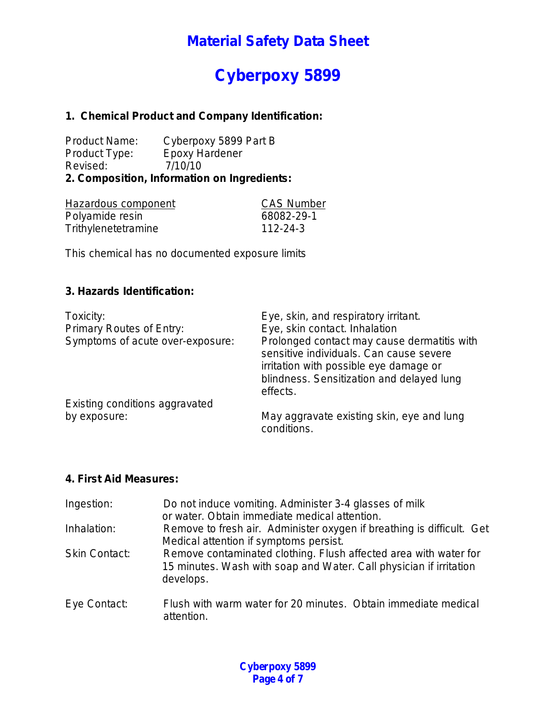# **Cyberpoxy 5899**

### **1. Chemical Product and Company Identification:**

Product Name: Cyberpoxy 5899 Part B<br>Product Type: Epoxy Hardener Product Type: Revised: 7/10/10 **2. Composition, Information on Ingredients:**

| Hazardous component | <b>CAS Number</b> |
|---------------------|-------------------|
| Polyamide resin     | 68082-29-1        |
| Trithylenetetramine | 112-24-3          |

This chemical has no documented exposure limits

### **3. Hazards Identification:**

| Toxicity:<br>Primary Routes of Entry:<br>Symptoms of acute over-exposure: | Eye, skin, and respiratory irritant.<br>Eye, skin contact. Inhalation<br>Prolonged contact may cause dermatitis with<br>sensitive individuals. Can cause severe<br>irritation with possible eye damage or<br>blindness. Sensitization and delayed lung |
|---------------------------------------------------------------------------|--------------------------------------------------------------------------------------------------------------------------------------------------------------------------------------------------------------------------------------------------------|
| Existing conditions aggravated                                            | effects.                                                                                                                                                                                                                                               |
|                                                                           |                                                                                                                                                                                                                                                        |
| by exposure:                                                              | May aggravate existing skin, eye and lung<br>conditions.                                                                                                                                                                                               |

#### **4. First Aid Measures:**

| Ingestion:           | Do not induce vomiting. Administer 3-4 glasses of milk<br>or water. Obtain immediate medical attention.                                             |
|----------------------|-----------------------------------------------------------------------------------------------------------------------------------------------------|
| Inhalation:          | Remove to fresh air. Administer oxygen if breathing is difficult. Get<br>Medical attention if symptoms persist.                                     |
| <b>Skin Contact:</b> | Remove contaminated clothing. Flush affected area with water for<br>15 minutes. Wash with soap and Water. Call physician if irritation<br>develops. |
| Eye Contact:         | Flush with warm water for 20 minutes. Obtain immediate medical<br>attention.                                                                        |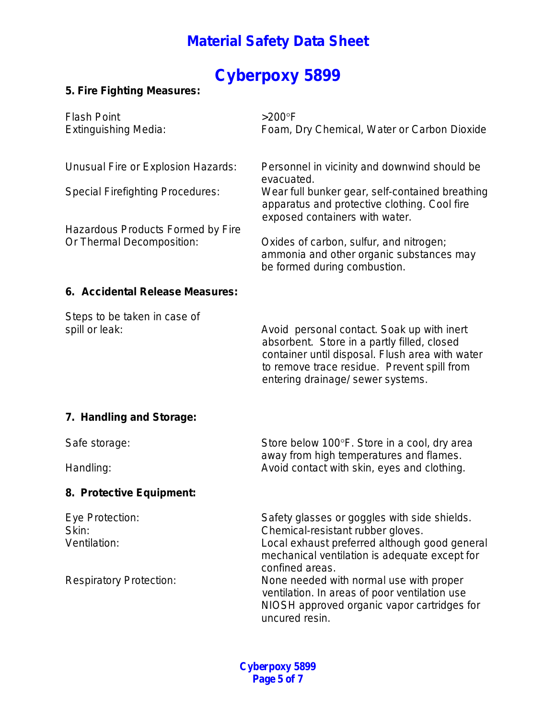# **Cyberpoxy 5899**

### **5. Fire Fighting Measures:**

| <b>Flash Point</b><br><b>Extinguishing Media:</b>                                                                                               | $>200^\circ F$<br>Foam, Dry Chemical, Water or Carbon Dioxide                                                                                                                                                                                                                                                                                                       |
|-------------------------------------------------------------------------------------------------------------------------------------------------|---------------------------------------------------------------------------------------------------------------------------------------------------------------------------------------------------------------------------------------------------------------------------------------------------------------------------------------------------------------------|
| Unusual Fire or Explosion Hazards:<br><b>Special Firefighting Procedures:</b><br>Hazardous Products Formed by Fire<br>Or Thermal Decomposition: | Personnel in vicinity and downwind should be<br>evacuated.<br>Wear full bunker gear, self-contained breathing<br>apparatus and protective clothing. Cool fire<br>exposed containers with water.<br>Oxides of carbon, sulfur, and nitrogen;<br>ammonia and other organic substances may<br>be formed during combustion.                                              |
| 6. Accidental Release Measures:                                                                                                                 |                                                                                                                                                                                                                                                                                                                                                                     |
| Steps to be taken in case of<br>spill or leak:                                                                                                  | Avoid personal contact. Soak up with inert<br>absorbent. Store in a partly filled, closed<br>container until disposal. Flush area with water<br>to remove trace residue. Prevent spill from<br>entering drainage/ sewer systems.                                                                                                                                    |
| 7. Handling and Storage:                                                                                                                        |                                                                                                                                                                                                                                                                                                                                                                     |
| Safe storage:<br>Handling:                                                                                                                      | Store below 100°F. Store in a cool, dry area<br>away from high temperatures and flames.<br>Avoid contact with skin, eyes and clothing.                                                                                                                                                                                                                              |
| 8. Protective Equipment:                                                                                                                        |                                                                                                                                                                                                                                                                                                                                                                     |
| Eye Protection:<br>Skin:<br>Ventilation:<br><b>Respiratory Protection:</b>                                                                      | Safety glasses or goggles with side shields.<br>Chemical-resistant rubber gloves.<br>Local exhaust preferred although good general<br>mechanical ventilation is adequate except for<br>confined areas.<br>None needed with normal use with proper<br>ventilation. In areas of poor ventilation use<br>NIOSH approved organic vapor cartridges for<br>uncured resin. |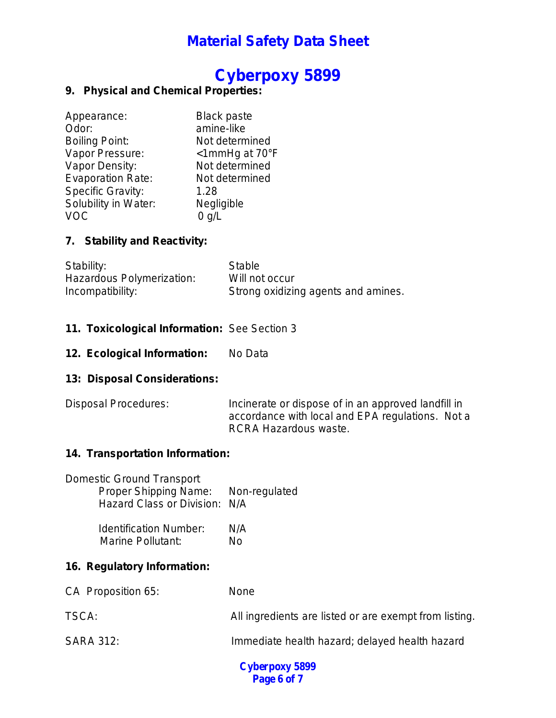## **Cyberpoxy 5899**

### **9. Physical and Chemical Properties:**

| Appearance:              | <b>Black paste</b> |
|--------------------------|--------------------|
| Odor:                    | amine-like         |
| <b>Boiling Point:</b>    | Not determined     |
| Vapor Pressure:          | <1mmHg at 70°F     |
| Vapor Density:           | Not determined     |
| <b>Evaporation Rate:</b> | Not determined     |
| <b>Specific Gravity:</b> | 1.28               |
| Solubility in Water:     | Negligible         |
|                          | $0$ g/L            |

### **7. Stability and Reactivity:**

| Stability:                | Stable                              |
|---------------------------|-------------------------------------|
| Hazardous Polymerization: | Will not occur                      |
| Incompatibility:          | Strong oxidizing agents and amines. |

### **11. Toxicological Information:** See Section 3

12. Ecological Information: No Data

### **13: Disposal Considerations:**

Disposal Procedures: Incinerate or dispose of in an approved landfill in accordance with local and EPA regulations. Not a RCRA Hazardous waste.

### **14. Transportation Information:**

| <b>Domestic Ground Transport</b>    |  |
|-------------------------------------|--|
| Proper Shipping Name: Non-regulated |  |
| Hazard Class or Division: N/A       |  |

| <b>Identification Number:</b> | N/A |
|-------------------------------|-----|
| <b>Marine Pollutant:</b>      | No  |

### **16. Regulatory Information:**

| CA Proposition 65: | <b>None</b>                                            |
|--------------------|--------------------------------------------------------|
| TSCA:              | All ingredients are listed or are exempt from listing. |
| <b>SARA 312:</b>   | Immediate health hazard; delayed health hazard         |

**Cyberpoxy 5899 Page 6 of 7**